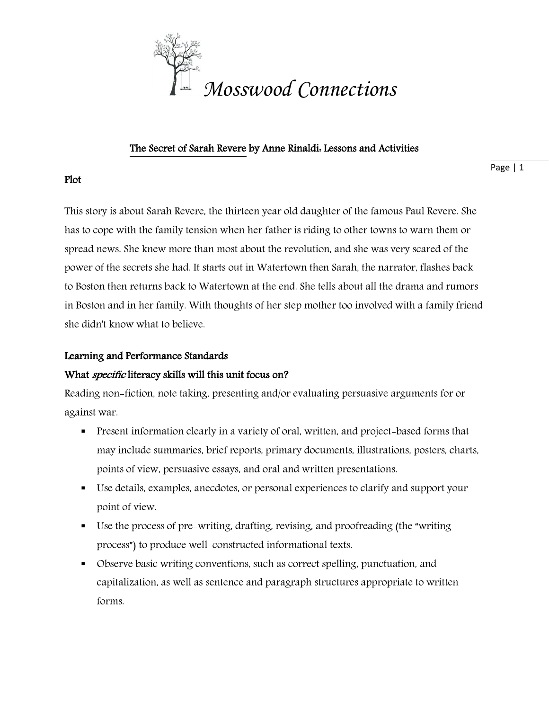

### The Secret of Sarah Revere by Anne Rinaldi: Lessons and Activities

Page | 1

# Plot

This story is about Sarah Revere, the thirteen year old daughter of the famous Paul Revere. She has to cope with the family tension when her father is riding to other towns to warn them or spread news. She knew more than most about the revolution, and she was very scared of the power of the secrets she had. It starts out in Watertown then Sarah, the narrator, flashes back to Boston then returns back to Watertown at the end. She tells about all the drama and rumors in Boston and in her family. With thoughts of her step mother too involved with a family friend she didn't know what to believe.

# Learning and Performance Standards

# What *specific* literacy skills will this unit focus on?

Reading non-fiction, note taking, presenting and/or evaluating persuasive arguments for or against war.

- **Present information clearly in a variety of oral, written, and project-based forms that** may include summaries, brief reports, primary documents, illustrations, posters, charts, points of view, persuasive essays, and oral and written presentations.
- Use details, examples, anecdotes, or personal experiences to clarify and support your point of view.
- Use the process of pre-writing, drafting, revising, and proofreading (the "writing process") to produce well-constructed informational texts.
- Observe basic writing conventions, such as correct spelling, punctuation, and capitalization, as well as sentence and paragraph structures appropriate to written forms.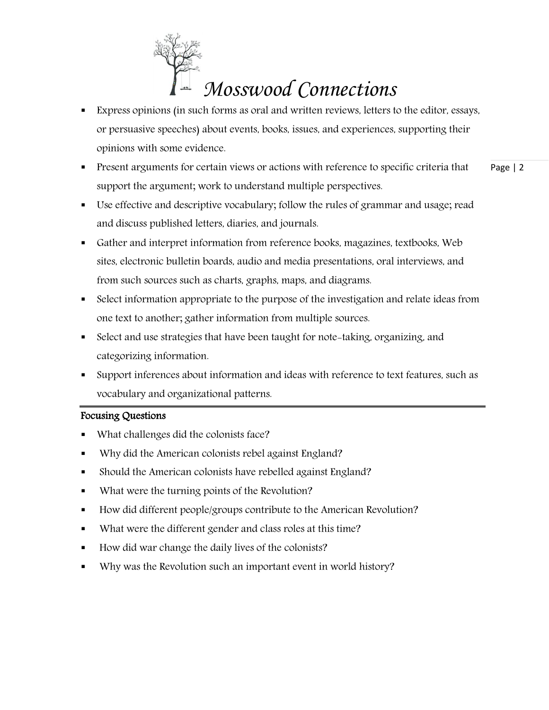

- Express opinions (in such forms as oral and written reviews, letters to the editor, essays, or persuasive speeches) about events, books, issues, and experiences, supporting their opinions with some evidence.
- Page | 2 **Present arguments for certain views or actions with reference to specific criteria that** support the argument; work to understand multiple perspectives.
- Use effective and descriptive vocabulary; follow the rules of grammar and usage; read and discuss published letters, diaries, and journals.
- Gather and interpret information from reference books, magazines, textbooks, Web sites, electronic bulletin boards, audio and media presentations, oral interviews, and from such sources such as charts, graphs, maps, and diagrams.
- Select information appropriate to the purpose of the investigation and relate ideas from one text to another; gather information from multiple sources.
- Select and use strategies that have been taught for note-taking, organizing, and categorizing information.
- Support inferences about information and ideas with reference to text features, such as vocabulary and organizational patterns.

# Focusing Questions

- What challenges did the colonists face?
- Why did the American colonists rebel against England?
- Should the American colonists have rebelled against England?
- What were the turning points of the Revolution?
- How did different people/groups contribute to the American Revolution?
- What were the different gender and class roles at this time?
- How did war change the daily lives of the colonists?
- Why was the Revolution such an important event in world history?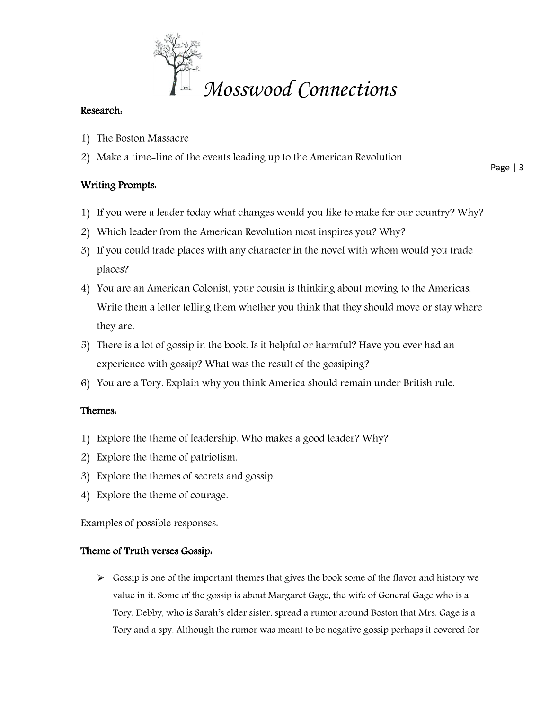

### Research:

- 1) The Boston Massacre
- 2) Make a time-line of the events leading up to the American Revolution

# Writing Prompts:

Page | 3

- 1) If you were a leader today what changes would you like to make for our country? Why?
- 2) Which leader from the American Revolution most inspires you? Why?
- 3) If you could trade places with any character in the novel with whom would you trade places?
- 4) You are an American Colonist, your cousin is thinking about moving to the Americas. Write them a letter telling them whether you think that they should move or stay where they are.
- 5) There is a lot of gossip in the book. Is it helpful or harmful? Have you ever had an experience with gossip? What was the result of the gossiping?
- 6) You are a Tory. Explain why you think America should remain under British rule.

# Themes:

- 1) Explore the theme of leadership. Who makes a good leader? Why?
- 2) Explore the theme of patriotism.
- 3) Explore the themes of secrets and gossip.
- 4) Explore the theme of courage.

Examples of possible responses:

#### Theme of Truth verses Gossip:

 $\triangleright$  Gossip is one of the important themes that gives the book some of the flavor and history we value in it. Some of the gossip is about Margaret Gage, the wife of General Gage who is a Tory. Debby, who is Sarah's elder sister, spread a rumor around Boston that Mrs. Gage is a Tory and a spy. Although the rumor was meant to be negative gossip perhaps it covered for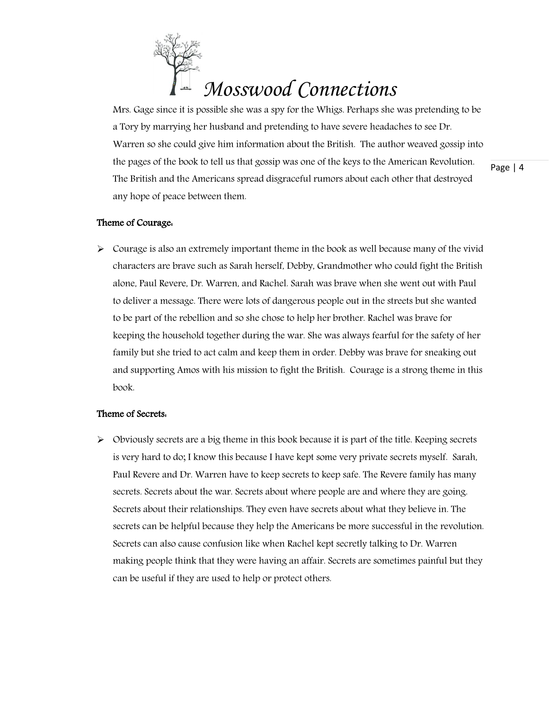

Mrs. Gage since it is possible she was a spy for the Whigs. Perhaps she was pretending to be a Tory by marrying her husband and pretending to have severe headaches to see Dr. Warren so she could give him information about the British. The author weaved gossip into the pages of the book to tell us that gossip was one of the keys to the American Revolution. The British and the Americans spread disgraceful rumors about each other that destroyed any hope of peace between them.

#### Theme of Courage:

 $\triangleright$  Courage is also an extremely important theme in the book as well because many of the vivid characters are brave such as Sarah herself, Debby, Grandmother who could fight the British alone, Paul Revere, Dr. Warren, and Rachel. Sarah was brave when she went out with Paul to deliver a message. There were lots of dangerous people out in the streets but she wanted to be part of the rebellion and so she chose to help her brother. Rachel was brave for keeping the household together during the war. She was always fearful for the safety of her family but she tried to act calm and keep them in order. Debby was brave for sneaking out and supporting Amos with his mission to fight the British. Courage is a strong theme in this book.

#### Theme of Secrets:

 $\triangleright$  Obviously secrets are a big theme in this book because it is part of the title. Keeping secrets is very hard to do; I know this because I have kept some very private secrets myself. Sarah, Paul Revere and Dr. Warren have to keep secrets to keep safe. The Revere family has many secrets. Secrets about the war. Secrets about where people are and where they are going. Secrets about their relationships. They even have secrets about what they believe in. The secrets can be helpful because they help the Americans be more successful in the revolution. Secrets can also cause confusion like when Rachel kept secretly talking to Dr. Warren making people think that they were having an affair. Secrets are sometimes painful but they can be useful if they are used to help or protect others.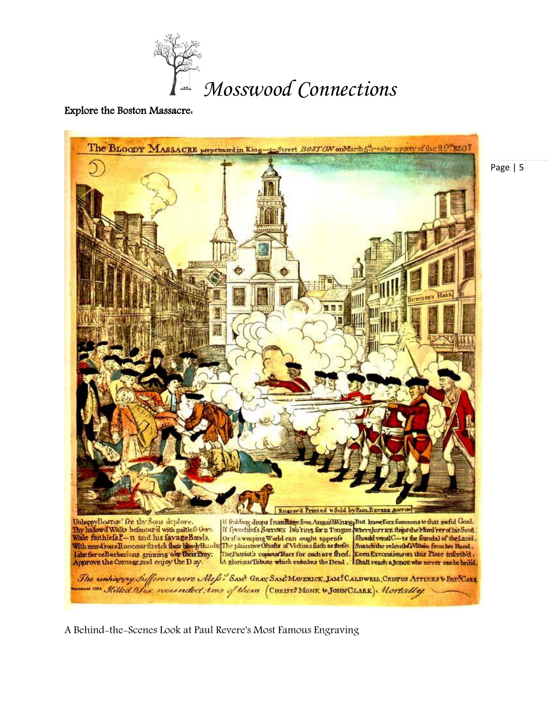

#### Explore the Boston Massacre:



A Behind-the-Scenes Look at Paul Revere's Most Famous Engraving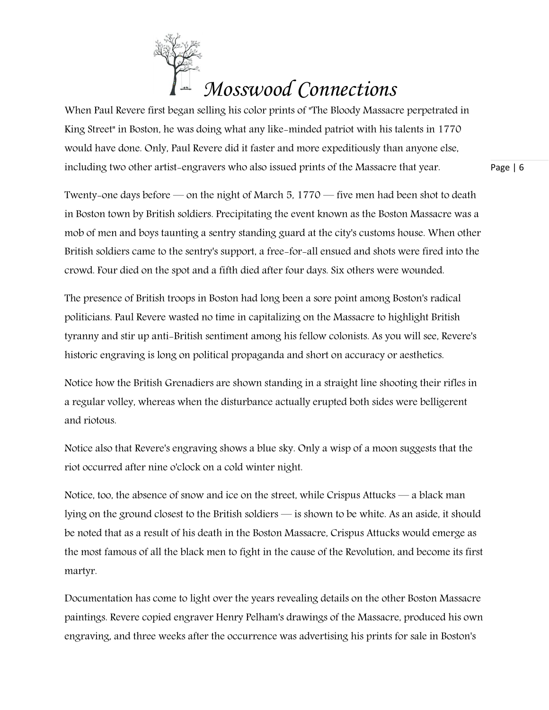# *Mosswood Connections*

When Paul Revere first began selling his color prints of "The Bloody Massacre perpetrated in King Street" in Boston, he was doing what any like-minded patriot with his talents in 1770 would have done. Only, Paul Revere did it faster and more expeditiously than anyone else, including two other artist-engravers who also issued prints of the Massacre that year.

Page | 6

Twenty-one days before — on the night of March 5, 1770 — five men had been shot to death in Boston town by British soldiers. Precipitating the event known as the Boston Massacre was a mob of men and boys taunting a sentry standing guard at the city's customs house. When other British soldiers came to the sentry's support, a free-for-all ensued and shots were fired into the crowd. Four died on the spot and a fifth died after four days. Six others were wounded.

The presence of British troops in Boston had long been a sore point among Boston's radical politicians. Paul Revere wasted no time in capitalizing on the Massacre to highlight British tyranny and stir up anti-British sentiment among his fellow colonists. As you will see, Revere's historic engraving is long on political propaganda and short on accuracy or aesthetics.

Notice how the British Grenadiers are shown standing in a straight line shooting their rifles in a regular volley, whereas when the disturbance actually erupted both sides were belligerent and riotous.

Notice also that Revere's engraving shows a blue sky. Only a wisp of a moon suggests that the riot occurred after nine o'clock on a cold winter night.

Notice, too, the absence of snow and ice on the street, while Crispus Attucks — a black man lying on the ground closest to the British soldiers — is shown to be white. As an aside, it should be noted that as a result of his death in the Boston Massacre, Crispus Attucks would emerge as the most famous of all the black men to fight in the cause of the Revolution, and become its first martyr.

Documentation has come to light over the years revealing details on the other Boston Massacre paintings. Revere copied engraver Henry Pelham's drawings of the Massacre, produced his own engraving, and three weeks after the occurrence was advertising his prints for sale in Boston's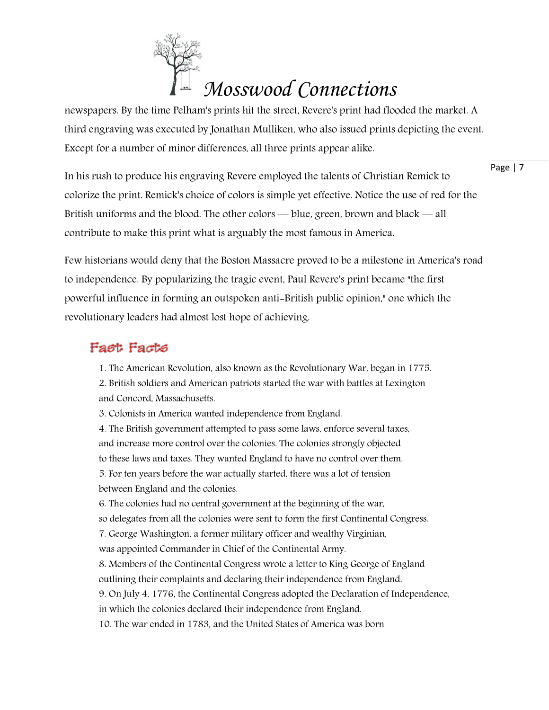# *Mosswood Connections*

newspapers. By the time Pelham's prints hit the street, Revere's print had flooded the market. A third engraving was executed by Jonathan Mulliken, who also issued prints depicting the event. Except for a number of minor differences, all three prints appear alike.

Page | 7

In his rush to produce his engraving Revere employed the talents of Christian Remick to colorize the print. Remick's choice of colors is simple yet effective. Notice the use of red for the British uniforms and the blood. The other colors — blue, green, brown and black — all contribute to make this print what is arguably the most famous in America.

Few historians would deny that the Boston Massacre proved to be a milestone in America's road to independence. By popularizing the tragic event, Paul Revere's print became "the first powerful influence in forming an outspoken anti-British public opinion," one which the revolutionary leaders had almost lost hope of achieving.

# Fast Facts

1. The American Revolution, also known as the Revolutionary War, began in 1775. 2. British soldiers and American patriots started the war with battles at Lexington

and Concord, Massachusetts.

3. Colonists in America wanted independence from England.

4. The British government attempted to pass some laws, enforce several taxes, and increase more control over the colonies. The colonies strongly objected to these laws and taxes. They wanted England to have no control over them. 5. For ten years before the war actually started, there was a lot of tension between England and the colonies.

6. The colonies had no central government at the beginning of the war, so delegates from all the colonies were sent to form the first Continental Congress.

7. George Washington, a former military officer and wealthy Virginian,

was appointed Commander in Chief of the Continental Army.

8. Members of the Continental Congress wrote a letter to King George of England outlining their complaints and declaring their independence from England.

9. On July 4, 1776, the Continental Congress adopted the Declaration of Independence,

in which the colonies declared their independence from England.

10. The war ended in 1783, and the United States of America was born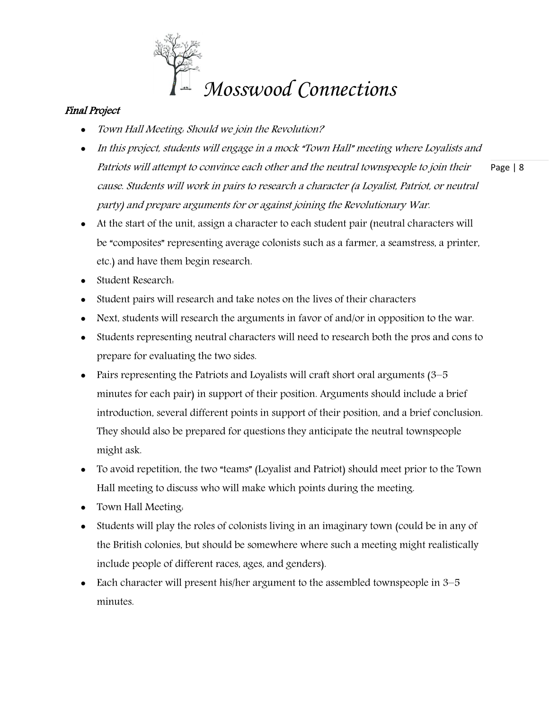

# Final Project

- Town Hall Meeting: Should we join the Revolution?
- Page | 8 • In this project, students will engage in a mock "Town Hall" meeting where Loyalists and Patriots will attempt to convince each other and the neutral townspeople to join their cause. Students will work in pairs to research a character (a Loyalist, Patriot, or neutral party) and prepare arguments for or against joining the Revolutionary War.
- At the start of the unit, assign a character to each student pair (neutral characters will be "composites" representing average colonists such as a farmer, a seamstress, a printer, etc.) and have them begin research.
- Student Research:
- Student pairs will research and take notes on the lives of their characters
- Next, students will research the arguments in favor of and/or in opposition to the war.
- Students representing neutral characters will need to research both the pros and cons to prepare for evaluating the two sides.
- Pairs representing the Patriots and Loyalists will craft short oral arguments (3–5 minutes for each pair) in support of their position. Arguments should include a brief introduction, several different points in support of their position, and a brief conclusion. They should also be prepared for questions they anticipate the neutral townspeople might ask.
- To avoid repetition, the two "teams" (Loyalist and Patriot) should meet prior to the Town Hall meeting to discuss who will make which points during the meeting.
- Town Hall Meeting.
- Students will play the roles of colonists living in an imaginary town (could be in any of the British colonies, but should be somewhere where such a meeting might realistically include people of different races, ages, and genders).
- Each character will present his/her argument to the assembled townspeople in 3–5 minutes.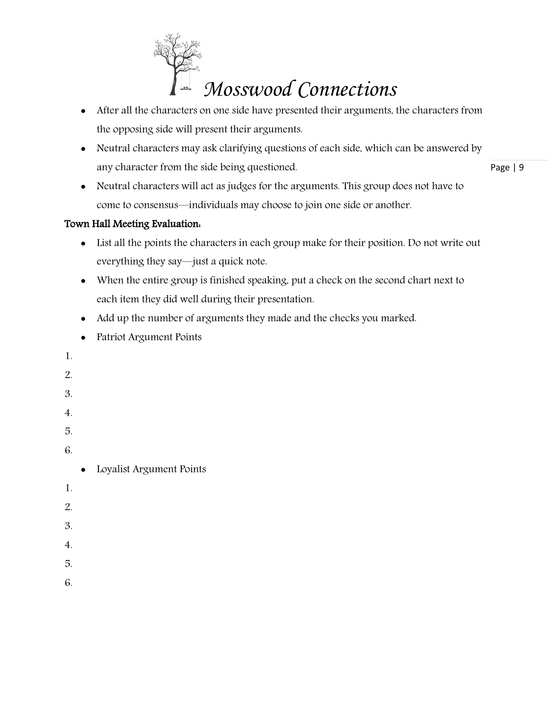

- After all the characters on one side have presented their arguments, the characters from the opposing side will present their arguments.
- Neutral characters may ask clarifying questions of each side, which can be answered by any character from the side being questioned.

Page | 9

 Neutral characters will act as judges for the arguments. This group does not have to come to consensus—individuals may choose to join one side or another.

# Town Hall Meeting Evaluation:

- List all the points the characters in each group make for their position. Do not write out everything they say—just a quick note.
- When the entire group is finished speaking, put a check on the second chart next to each item they did well during their presentation.
- Add up the number of arguments they made and the checks you marked.
- Patriot Argument Points
- 1.
- 2.
- 3.
- 
- 4.
- 5.
- 6.
- Loyalist Argument Points
- 1.
- 2.
- 
- 3.
- 4.
- 5.
- 6.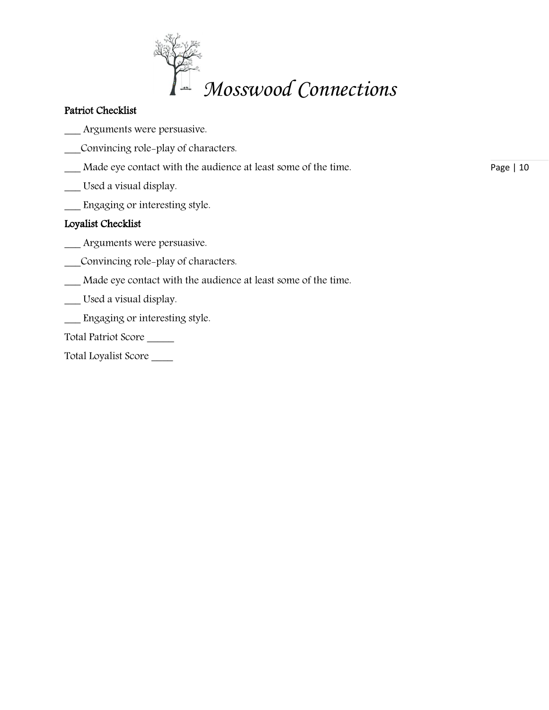

# Patriot Checklist

- Arguments were persuasive.
- \_\_\_Convincing role-play of characters.
- \_\_\_ Made eye contact with the audience at least some of the time.
- \_\_\_ Used a visual display.
- \_\_\_ Engaging or interesting style.

# Loyalist Checklist

- \_\_\_ Arguments were persuasive.
- \_\_\_Convincing role-play of characters.
- \_\_\_ Made eye contact with the audience at least some of the time.
- \_\_\_ Used a visual display.
- \_\_\_ Engaging or interesting style.
- Total Patriot Score \_\_\_\_\_
- Total Loyalist Score \_\_\_\_